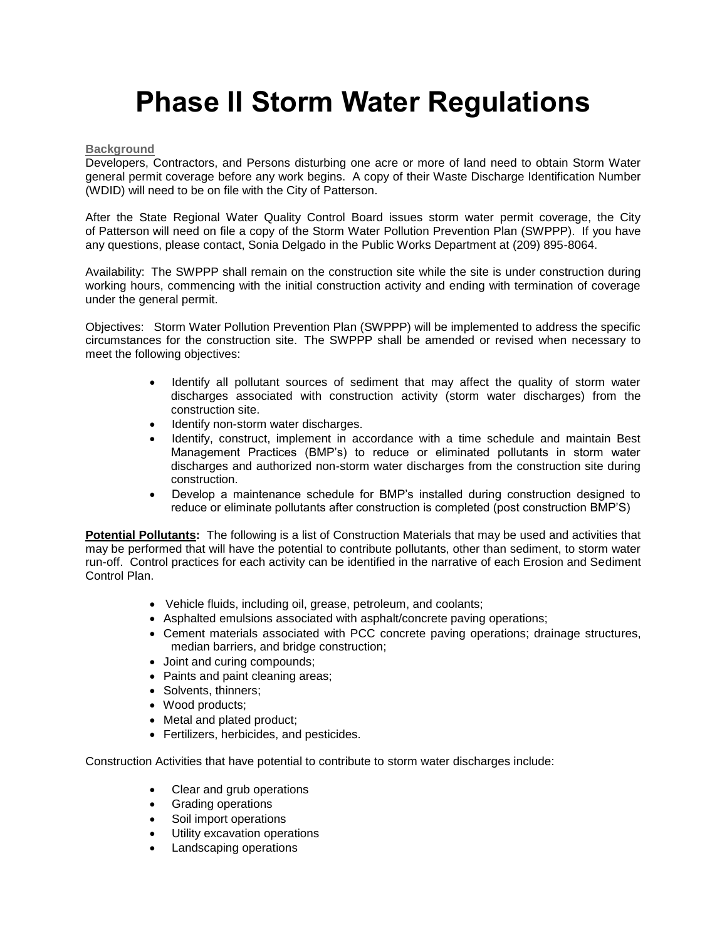## **Phase II Storm Water Regulations**

## **Background**

Developers, Contractors, and Persons disturbing one acre or more of land need to obtain Storm Water general permit coverage before any work begins. A copy of their Waste Discharge Identification Number (WDID) will need to be on file with the City of Patterson.

After the State Regional Water Quality Control Board issues storm water permit coverage, the City of Patterson will need on file a copy of the Storm Water Pollution Prevention Plan (SWPPP). If you have any questions, please contact, Sonia Delgado in the Public Works Department at (209) 895-8064.

Availability: The SWPPP shall remain on the construction site while the site is under construction during working hours, commencing with the initial construction activity and ending with termination of coverage under the general permit.

Objectives: Storm Water Pollution Prevention Plan (SWPPP) will be implemented to address the specific circumstances for the construction site. The SWPPP shall be amended or revised when necessary to meet the following objectives:

- Identify all pollutant sources of sediment that may affect the quality of storm water discharges associated with construction activity (storm water discharges) from the construction site.
- Identify non-storm water discharges.
- Identify, construct, implement in accordance with a time schedule and maintain Best Management Practices (BMP's) to reduce or eliminated pollutants in storm water discharges and authorized non-storm water discharges from the construction site during construction.
- Develop a maintenance schedule for BMP's installed during construction designed to reduce or eliminate pollutants after construction is completed (post construction BMP'S)

**Potential Pollutants:** The following is a list of Construction Materials that may be used and activities that may be performed that will have the potential to contribute pollutants, other than sediment, to storm water run-off. Control practices for each activity can be identified in the narrative of each Erosion and Sediment Control Plan.

- Vehicle fluids, including oil, grease, petroleum, and coolants;
- Asphalted emulsions associated with asphalt/concrete paving operations;
- Cement materials associated with PCC concrete paving operations; drainage structures, median barriers, and bridge construction;
- Joint and curing compounds;
- Paints and paint cleaning areas;
- Solvents, thinners;
- Wood products;
- Metal and plated product;
- Fertilizers, herbicides, and pesticides.

Construction Activities that have potential to contribute to storm water discharges include:

- Clear and grub operations
- Grading operations
- Soil import operations
- Utility excavation operations
- Landscaping operations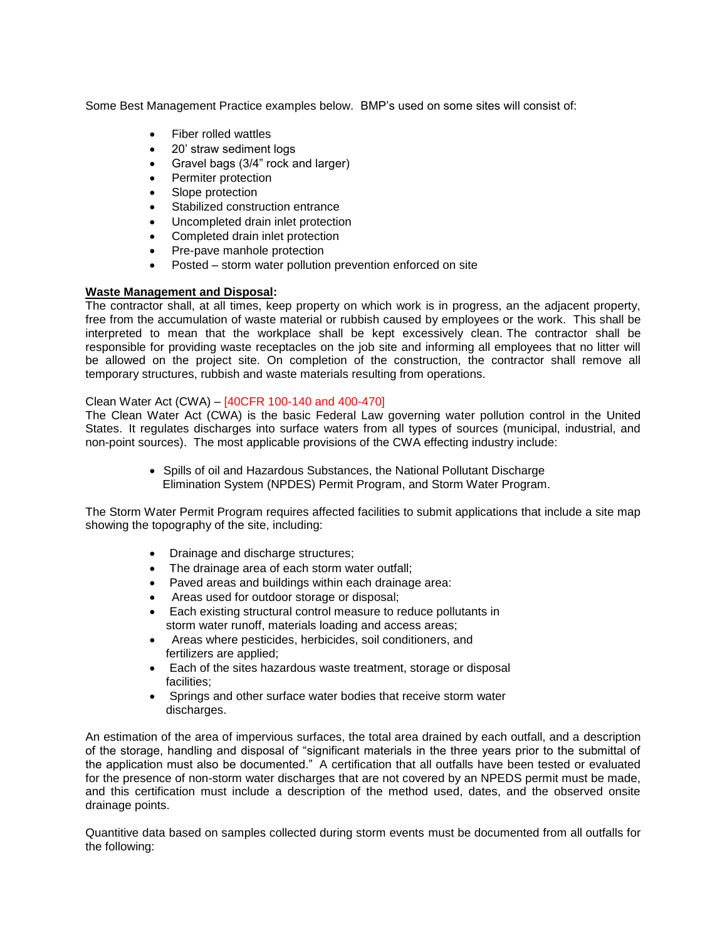Some Best Management Practice examples below. BMP's used on some sites will consist of:

- Fiber rolled wattles
- 20' straw sediment logs
- Gravel bags (3/4" rock and larger)
- Permiter protection
- Slope protection
- Stabilized construction entrance
- Uncompleted drain inlet protection
- Completed drain inlet protection
- Pre-pave manhole protection
- Posted storm water pollution prevention enforced on site

## **Waste Management and Disposal:**

The contractor shall, at all times, keep property on which work is in progress, an the adjacent property, free from the accumulation of waste material or rubbish caused by employees or the work. This shall be interpreted to mean that the workplace shall be kept excessively clean. The contractor shall be responsible for providing waste receptacles on the job site and informing all employees that no litter will be allowed on the project site. On completion of the construction, the contractor shall remove all temporary structures, rubbish and waste materials resulting from operations.

## Clean Water Act (CWA) – [40CFR 100-140 and 400-470]

The Clean Water Act (CWA) is the basic Federal Law governing water pollution control in the United States. It regulates discharges into surface waters from all types of sources (municipal, industrial, and non-point sources). The most applicable provisions of the CWA effecting industry include:

> Spills of oil and Hazardous Substances, the National Pollutant Discharge Elimination System (NPDES) Permit Program, and Storm Water Program.

The Storm Water Permit Program requires affected facilities to submit applications that include a site map showing the topography of the site, including:

- Drainage and discharge structures;
- The drainage area of each storm water outfall;
- Paved areas and buildings within each drainage area:
- Areas used for outdoor storage or disposal;
- Each existing structural control measure to reduce pollutants in storm water runoff, materials loading and access areas;
- Areas where pesticides, herbicides, soil conditioners, and fertilizers are applied;
- Each of the sites hazardous waste treatment, storage or disposal facilities;
- Springs and other surface water bodies that receive storm water discharges.

An estimation of the area of impervious surfaces, the total area drained by each outfall, and a description of the storage, handling and disposal of "significant materials in the three years prior to the submittal of the application must also be documented." A certification that all outfalls have been tested or evaluated for the presence of non-storm water discharges that are not covered by an NPEDS permit must be made, and this certification must include a description of the method used, dates, and the observed onsite drainage points.

Quantitive data based on samples collected during storm events must be documented from all outfalls for the following: